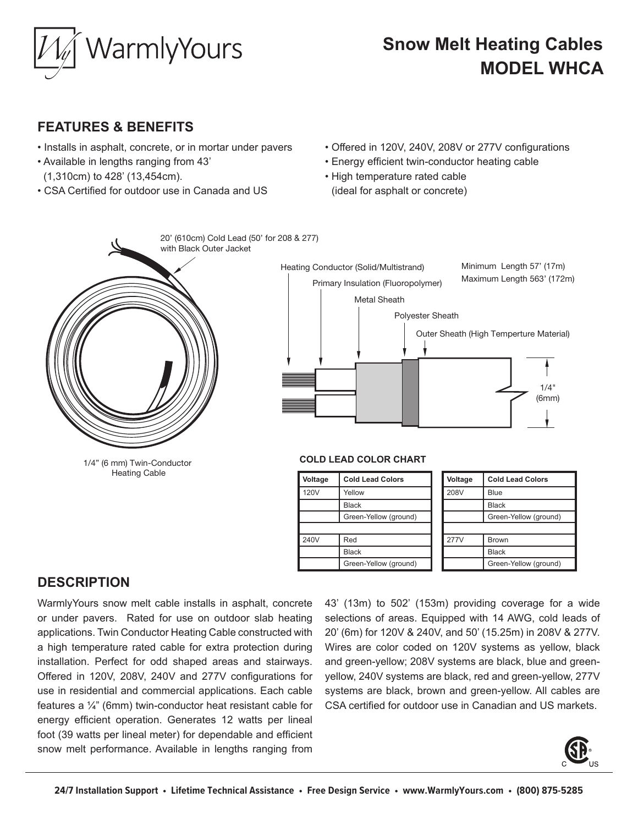

# **Snow Melt Heating Cables MODEL WHCA**

## **FEATURES & BENEFITS**

- Installs in asphalt, concrete, or in mortar under pavers
- Available in lengths ranging from 43' (1,310cm) to 428' (13,454cm).
- CSA Certified for outdoor use in Canada and US
- Offered in 120V, 240V, 208V or 277V configurations
- Energy efficient twin-conductor heating cable
- High temperature rated cable (ideal for asphalt or concrete)



### **DESCRIPTION**

WarmlyYours snow melt cable installs in asphalt, concrete or under pavers. Rated for use on outdoor slab heating applications. Twin Conductor Heating Cable constructed with a high temperature rated cable for extra protection during installation. Perfect for odd shaped areas and stairways. Offered in 120V, 208V, 240V and 277V configurations for use in residential and commercial applications. Each cable features a  $\frac{1}{4}$ " (6mm) twin-conductor heat resistant cable for energy efficient operation. Generates 12 watts per lineal foot (39 watts per lineal meter) for dependable and efficient snow melt performance. Available in lengths ranging from  $\overline{5}$ 

43' (13m) to 502' (153m) providing coverage for a wide selections of areas. Equipped with 14 AWG, cold leads of 20' (6m) for 120V & 240V, and 50' (15.25m) in 208V & 277V. Wires are color coded on 120V systems as yellow, black and green-yellow; 208V systems are black, blue and greenyellow, 240V systems are black, red and green-yellow, 277V systems are black, brown and green-yellow. All cables are CSA certified for outdoor use in Canadian and US markets.

277V Brown

Black

Green-Yellow (ground)



1/4"

240V Red

Black

Green-Yellow (ground)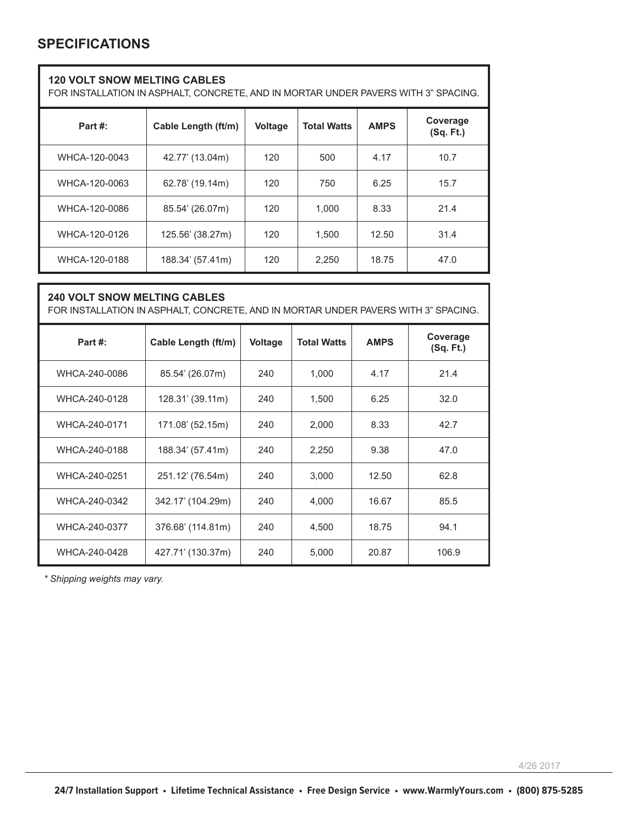### **SPECIFICATIONS**

| <b>120 VOLT SNOW MELTING CABLES</b><br>FOR INSTALLATION IN ASPHALT, CONCRETE, AND IN MORTAR UNDER PAVERS WITH 3" SPACING. |                     |                |                    |             |                       |
|---------------------------------------------------------------------------------------------------------------------------|---------------------|----------------|--------------------|-------------|-----------------------|
| Part #:                                                                                                                   | Cable Length (ft/m) | <b>Voltage</b> | <b>Total Watts</b> | <b>AMPS</b> | Coverage<br>(Sq. Ft.) |
| WHCA-120-0043                                                                                                             | 42.77' (13.04m)     | 120            | 500                | 4.17        | 10.7                  |
| WHCA-120-0063                                                                                                             | 62.78' (19.14m)     | 120            | 750                | 6.25        | 15.7                  |
| WHCA-120-0086                                                                                                             | 85.54' (26.07m)     | 120            | 1,000              | 8.33        | 21.4                  |
| WHCA-120-0126                                                                                                             | 125.56' (38.27m)    | 120            | 1,500              | 12.50       | 31.4                  |
| WHCA-120-0188                                                                                                             | 188.34' (57.41m)    | 120            | 2,250              | 18.75       | 47.0                  |
| <b>240 VOLT SNOW MELTING CABLES</b>                                                                                       |                     |                |                    |             |                       |

| FOR INSTALLATION IN ASPHALT, CONCRETE, AND IN MORTAR UNDER PAVERS WITH 3" SPACING. |                     |         |                    |             |                       |  |
|------------------------------------------------------------------------------------|---------------------|---------|--------------------|-------------|-----------------------|--|
| Part #:                                                                            | Cable Length (ft/m) | Voltage | <b>Total Watts</b> | <b>AMPS</b> | Coverage<br>(Sq. Ft.) |  |
| WHCA-240-0086                                                                      | 85.54' (26.07m)     | 240     | 1,000              | 4.17        | 21.4                  |  |
| WHCA-240-0128                                                                      | 128.31' (39.11m)    | 240     | 1,500              | 6.25        | 32.0                  |  |
| WHCA-240-0171                                                                      | 171.08' (52.15m)    | 240     | 2,000              | 8.33        | 42.7                  |  |
| WHCA-240-0188                                                                      | 188.34' (57.41m)    | 240     | 2,250              | 9.38        | 47.0                  |  |
| WHCA-240-0251                                                                      | 251.12' (76.54m)    | 240     | 3,000              | 12.50       | 62.8                  |  |
| WHCA-240-0342                                                                      | 342.17' (104.29m)   | 240     | 4,000              | 16.67       | 85.5                  |  |
| WHCA-240-0377                                                                      | 376.68' (114.81m)   | 240     | 4,500              | 18.75       | 94.1                  |  |
| WHCA-240-0428                                                                      | 427.71' (130.37m)   | 240     | 5,000              | 20.87       | 106.9                 |  |

*\* Shipping weights may vary.*